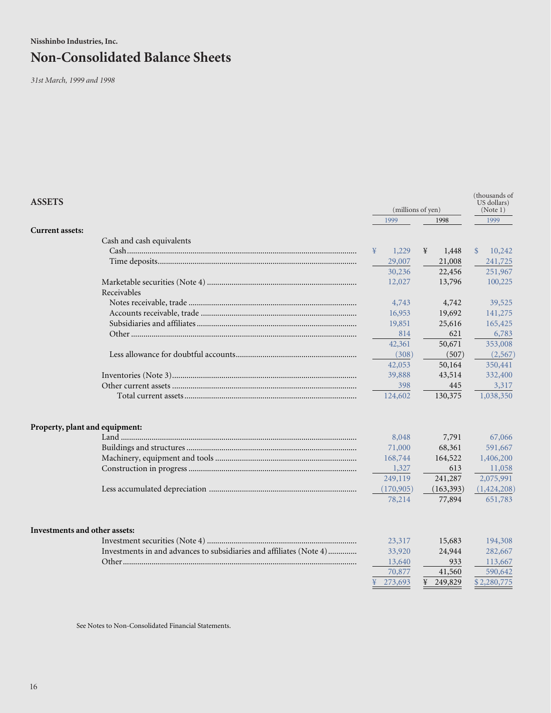**Nisshinbo Industries, Inc.**

# **Non-Consolidated Balance Sheets**

*31st March, 1999 and 1998*

| <b>ASSETS</b>                                                                                        | (millions of yen)          |        |   |                                   | (thousands of<br>US dollars)<br>(Note 1) |                                          |  |
|------------------------------------------------------------------------------------------------------|----------------------------|--------|---|-----------------------------------|------------------------------------------|------------------------------------------|--|
|                                                                                                      | 1999                       |        |   | 1998                              |                                          | 1999                                     |  |
| <b>Current assets:</b>                                                                               |                            |        |   |                                   |                                          |                                          |  |
| Cash and cash equivalents                                                                            |                            |        |   |                                   |                                          |                                          |  |
|                                                                                                      | ¥                          | 1,229  | ¥ | 1,448                             | $\mathcal{S}$                            | 10,242                                   |  |
|                                                                                                      | 29,007                     |        |   | 21,008                            |                                          | 241,725                                  |  |
|                                                                                                      |                            | 30,236 |   | 22,456                            |                                          | 251,967                                  |  |
|                                                                                                      | 12,027                     |        |   | 13,796                            |                                          | 100,225                                  |  |
| Receivables                                                                                          |                            |        |   |                                   |                                          |                                          |  |
|                                                                                                      |                            | 4,743  |   | 4,742                             |                                          | 39,525                                   |  |
|                                                                                                      |                            | 16,953 |   | 19,692                            |                                          | 141,275                                  |  |
|                                                                                                      |                            | 19,851 |   | 25,616                            |                                          | 165,425                                  |  |
|                                                                                                      |                            | 814    |   | 621                               |                                          | 6,783                                    |  |
|                                                                                                      |                            | 42,361 |   | 50,671                            |                                          | 353,008                                  |  |
|                                                                                                      |                            | (308)  |   | (507)                             |                                          | (2,567)                                  |  |
|                                                                                                      | 42,053                     |        |   | 50,164                            |                                          | 350,441                                  |  |
|                                                                                                      | 39,888                     |        |   | 43,514                            |                                          | 332,400                                  |  |
|                                                                                                      |                            | 398    |   | 445                               |                                          | 3,317                                    |  |
|                                                                                                      | 124,602                    |        |   | 130,375                           |                                          | 1,038,350                                |  |
| Property, plant and equipment:                                                                       |                            |        |   |                                   |                                          |                                          |  |
|                                                                                                      |                            | 8,048  |   | 7,791                             |                                          | 67,066                                   |  |
|                                                                                                      | 71,000                     |        |   | 68,361                            |                                          | 591,667                                  |  |
|                                                                                                      | 168,744                    |        |   | 164,522                           |                                          | 1,406,200                                |  |
|                                                                                                      |                            | 1,327  |   | 613                               |                                          | 11,058                                   |  |
|                                                                                                      | 249,119                    |        |   | 241,287                           |                                          | 2,075,991                                |  |
|                                                                                                      | (170, 905)                 |        |   | (163, 393)                        |                                          | (1,424,208)                              |  |
|                                                                                                      | 78,214                     |        |   | 77,894                            |                                          | 651,783                                  |  |
| Investments and other assets:<br>Investments in and advances to subsidiaries and affiliates (Note 4) | 33,920<br>13,640<br>70,877 | 23,317 |   | 15,683<br>24,944<br>933<br>41,560 |                                          | 194,308<br>282,667<br>113,667<br>590,642 |  |
|                                                                                                      | 273,693                    |        |   | 249,829                           |                                          | \$2,280,775                              |  |
|                                                                                                      |                            |        |   |                                   |                                          |                                          |  |

See Notes to Non-Consolidated Financial Statements.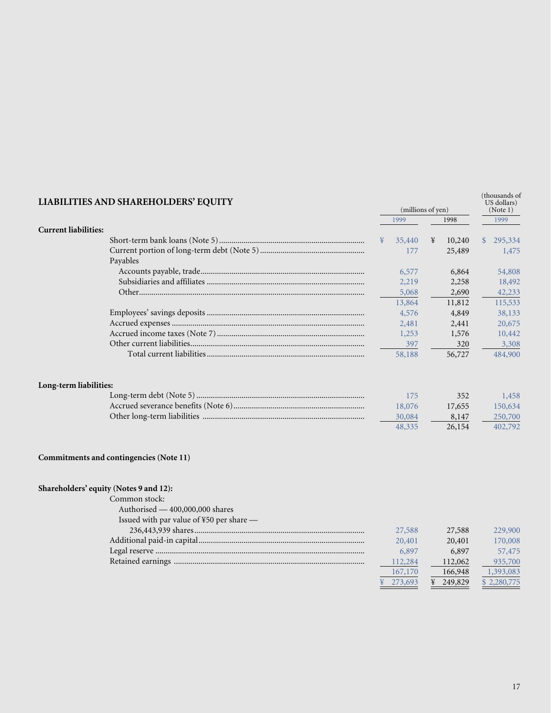| LIABILITIES AND SHAREHOLDERS' EQUITY     |                 | (millions of yen) | (thousands of<br>US dollars)<br>(Note 1) |         |              |             |
|------------------------------------------|-----------------|-------------------|------------------------------------------|---------|--------------|-------------|
|                                          |                 | 1999              | 1998                                     |         |              | 1999        |
| <b>Current liabilities:</b>              |                 |                   |                                          |         |              |             |
|                                          | $\mathbf{\Psi}$ | 35,440            | ¥                                        | 10,240  | $\mathbb{S}$ | 295,334     |
| Payables                                 |                 | 177               |                                          | 25,489  |              | 1,475       |
|                                          |                 | 6,577             |                                          | 6,864   |              | 54,808      |
|                                          |                 | 2,219             |                                          | 2,258   |              | 18,492      |
|                                          |                 | 5,068             |                                          | 2,690   |              | 42,233      |
|                                          |                 | 13,864            |                                          | 11,812  |              | 115,533     |
|                                          |                 | 4,576             |                                          | 4,849   |              | 38,133      |
|                                          |                 | 2,481             |                                          | 2,441   |              | 20,675      |
|                                          |                 | 1,253             |                                          | 1,576   |              | 10,442      |
|                                          |                 | 397               |                                          | 320     |              | 3,308       |
|                                          |                 | 58,188            |                                          | 56,727  |              | 484,900     |
| Long-term liabilities:                   |                 |                   |                                          |         |              |             |
|                                          |                 | 175               |                                          | 352     |              | 1,458       |
|                                          |                 | 18,076            |                                          | 17,655  |              | 150,634     |
|                                          |                 | 30,084            |                                          | 8,147   |              | 250,700     |
|                                          |                 | 48,335            |                                          | 26,154  |              | 402,792     |
| Commitments and contingencies (Note 11)  |                 |                   |                                          |         |              |             |
| Shareholders' equity (Notes 9 and 12):   |                 |                   |                                          |         |              |             |
| Common stock:                            |                 |                   |                                          |         |              |             |
| Authorised - 400,000,000 shares          |                 |                   |                                          |         |              |             |
| Issued with par value of ¥50 per share - |                 |                   |                                          |         |              |             |
|                                          |                 | 27,588            |                                          | 27,588  |              | 229,900     |
|                                          |                 | 20,401            |                                          | 20,401  |              | 170,008     |
|                                          |                 | 6,897             |                                          | 6,897   |              | 57,475      |
|                                          |                 | 112,284           |                                          | 112,062 |              | 935,700     |
|                                          |                 | 167,170           |                                          | 166,948 |              | 1,393,083   |
|                                          |                 | 273,693           |                                          | 249,829 |              | \$2,280,775 |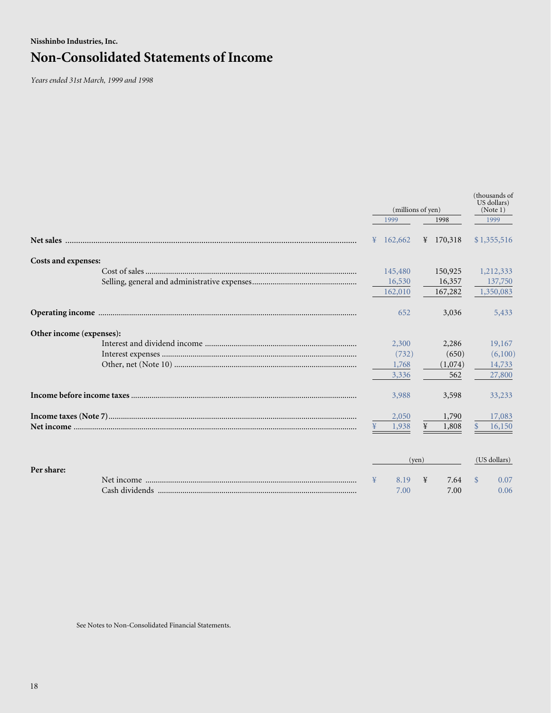## **Nisshinbo Industries, Inc. Non-Consolidated Statements of Income**

*Years ended 31st March, 1999 and 1998*

|                          | (millions of yen) |         |                |             | (thousands of<br>US dollars)<br>(Note 1) |              |  |
|--------------------------|-------------------|---------|----------------|-------------|------------------------------------------|--------------|--|
|                          |                   | 1999    |                | 1998        |                                          | 1999         |  |
|                          | ¥                 | 162,662 |                | ¥ $170,318$ |                                          | \$1,355,516  |  |
| Costs and expenses:      |                   |         |                |             |                                          |              |  |
|                          |                   | 145,480 |                | 150,925     |                                          | 1,212,333    |  |
|                          |                   | 16,530  |                | 16,357      |                                          | 137,750      |  |
|                          |                   | 162,010 |                | 167,282     |                                          | 1,350,083    |  |
|                          |                   | 652     |                | 3,036       |                                          | 5,433        |  |
| Other income (expenses): |                   |         |                |             |                                          |              |  |
|                          |                   | 2,300   |                | 2,286       |                                          | 19,167       |  |
|                          |                   | (732)   |                | (650)       |                                          | (6,100)      |  |
|                          |                   | 1,768   |                | (1,074)     |                                          | 14,733       |  |
|                          |                   | 3,336   |                | 562         |                                          | 27,800       |  |
|                          |                   | 3,988   |                | 3,598       |                                          | 33,233       |  |
|                          |                   | 2,050   |                | 1,790       |                                          | 17,083       |  |
|                          |                   | 1,938   | ¥              | 1,808       | $\mathbb{S}$                             | 16,150       |  |
|                          |                   |         | $(\text{ven})$ |             |                                          | (US dollars) |  |
| Per share:               |                   |         |                |             |                                          |              |  |
|                          |                   | 8.19    | ¥              | 7.64        | <sup>\$</sup>                            | 0.07         |  |
|                          |                   | 7.00    |                | 7.00        |                                          | 0.06         |  |

See Notes to Non-Consolidated Financial Statements.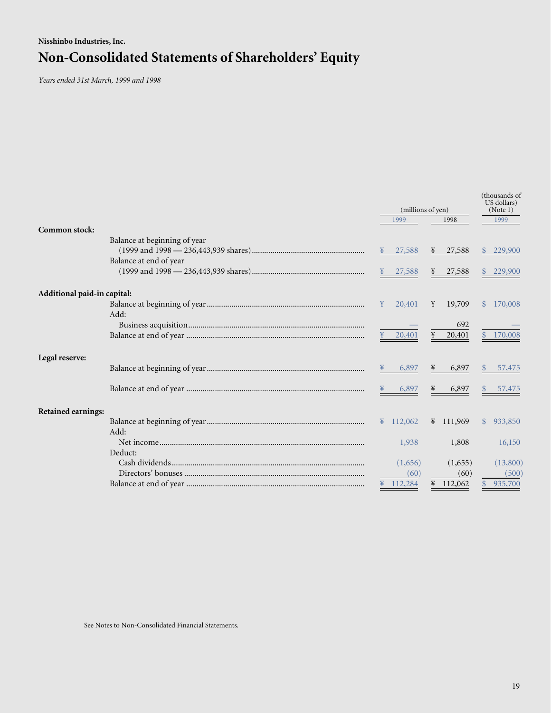# **Nisshinbo Industries, Inc. Non-Consolidated Statements of Shareholders' Equity**

*Years ended 31st March, 1999 and 1998*

|                             |                              | (millions of yen)  |                      |            |                      | (thousands of<br>US dollars)<br>(Note 1) |           |  |
|-----------------------------|------------------------------|--------------------|----------------------|------------|----------------------|------------------------------------------|-----------|--|
| Common stock:               |                              |                    | 1999                 |            | 1998                 |                                          | 1999      |  |
|                             | Balance at beginning of year |                    |                      |            |                      |                                          |           |  |
|                             |                              |                    | 27,588               | ¥          | 27,588               | <sup>S</sup>                             | 229,900   |  |
|                             | Balance at end of year       |                    |                      |            |                      |                                          |           |  |
|                             |                              |                    | $\frac{4}{1}$ 27,588 |            | $\frac{4}{1}$ 27,588 |                                          | \$229,900 |  |
|                             |                              |                    |                      |            |                      |                                          |           |  |
| Additional paid-in capital: |                              |                    |                      |            |                      |                                          |           |  |
|                             |                              | $\mathbf{F}$       | 20,401               | ¥          | 19,709               | <sup>S</sup>                             | 170,008   |  |
|                             | Add:                         |                    |                      |            |                      |                                          |           |  |
|                             |                              |                    |                      |            | 692                  |                                          |           |  |
|                             |                              |                    | $\frac{4}{1}$ 20,401 | $\ddot{F}$ | 20,401               | $\mathcal{S}$                            | 170,008   |  |
| Legal reserve:              |                              |                    |                      |            |                      |                                          |           |  |
|                             |                              |                    | 6,897                | ¥          | 6,897                |                                          | 57,475    |  |
|                             |                              | $\mathbf{\dot{F}}$ | 6,897                | $\ddot{F}$ | 6,897                |                                          | \$57,475  |  |
|                             |                              |                    |                      |            |                      |                                          |           |  |
| <b>Retained earnings:</b>   |                              |                    |                      |            |                      |                                          |           |  |
|                             |                              |                    | $\frac{112,062}{2}$  |            | $\frac{111,969}{2}$  | $\mathbb{S}$                             | 933,850   |  |
|                             | Add:                         |                    |                      |            |                      |                                          |           |  |
|                             |                              |                    | 1,938                |            | 1,808                |                                          | 16,150    |  |
|                             | Deduct:                      |                    |                      |            |                      |                                          |           |  |
|                             |                              |                    | (1,656)              |            | (1,655)              |                                          | (13,800)  |  |
|                             |                              |                    | (60)                 |            | (60)                 |                                          | (500)     |  |
|                             |                              |                    | ¥ 112,284            | ¥          | 112,062              |                                          | 935,700   |  |

See Notes to Non-Consolidated Financial Statements.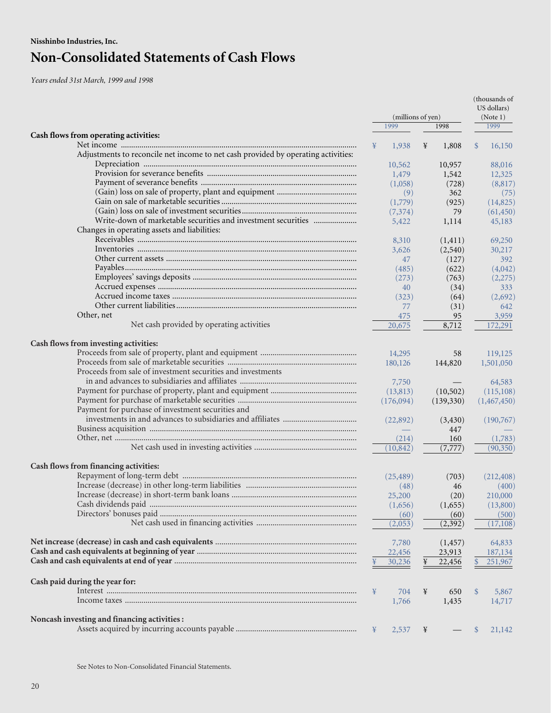*Years ended 31st March, 1999 and 1998*

|                                                                                   |   |                   |   | (thousands of<br>US dollars) |               |             |
|-----------------------------------------------------------------------------------|---|-------------------|---|------------------------------|---------------|-------------|
|                                                                                   |   | (millions of yen) |   |                              | (Note 1)      |             |
|                                                                                   |   | 1999              |   | 1998                         |               | 1999        |
| Cash flows from operating activities:                                             |   |                   |   |                              |               |             |
|                                                                                   | ¥ | 1,938             | ¥ | 1,808                        | $\mathcal{S}$ | 16,150      |
| Adjustments to reconcile net income to net cash provided by operating activities: |   |                   |   |                              |               |             |
|                                                                                   |   | 10,562            |   | 10,957                       |               | 88,016      |
|                                                                                   |   | 1,479             |   | 1,542                        |               | 12,325      |
|                                                                                   |   | (1,058)           |   | (728)                        |               | (8,817)     |
|                                                                                   |   | (9)               |   | 362                          |               | (75)        |
|                                                                                   |   | (1,779)           |   | (925)                        |               | (14,825)    |
|                                                                                   |   | (7,374)           |   | 79                           |               | (61, 450)   |
| Write-down of marketable securities and investment securities                     |   | 5,422             |   | 1,114                        |               | 45,183      |
| Changes in operating assets and liabilities:                                      |   |                   |   |                              |               |             |
|                                                                                   |   | 8,310             |   | (1, 411)                     |               | 69,250      |
|                                                                                   |   | 3,626             |   | (2,540)                      |               | 30,217      |
|                                                                                   |   | 47                |   | (127)                        |               | 392         |
|                                                                                   |   |                   |   |                              |               |             |
|                                                                                   |   | (485)             |   | (622)                        |               | (4,042)     |
|                                                                                   |   | (273)             |   | (763)                        |               | (2,275)     |
|                                                                                   |   | 40                |   | (34)                         |               | 333         |
|                                                                                   |   | (323)             |   | (64)                         |               | (2,692)     |
|                                                                                   |   | 77                |   | (31)                         |               | 642         |
| Other, net                                                                        |   | 475               |   | 95                           |               | 3,959       |
| Net cash provided by operating activities                                         |   | 20,675            |   | 8,712                        |               | 172,291     |
| Cash flows from investing activities:                                             |   |                   |   |                              |               |             |
|                                                                                   |   |                   |   |                              |               |             |
|                                                                                   |   | 14,295            |   | 58                           |               | 119,125     |
|                                                                                   |   | 180,126           |   | 144,820                      |               | 1,501,050   |
| Proceeds from sale of investment securities and investments                       |   |                   |   |                              |               |             |
|                                                                                   |   | 7,750             |   |                              |               | 64,583      |
|                                                                                   |   | (13, 813)         |   | (10,502)                     |               | (115, 108)  |
|                                                                                   |   | (176,094)         |   | (139, 330)                   |               | (1,467,450) |
| Payment for purchase of investment securities and                                 |   |                   |   |                              |               |             |
|                                                                                   |   | (22,892)          |   | (3,430)                      |               | (190,767)   |
|                                                                                   |   |                   |   | 447                          |               |             |
|                                                                                   |   | (214)             |   | 160                          |               | (1,783)     |
|                                                                                   |   | (10, 842)         |   | (7, 777)                     |               | (90, 350)   |
|                                                                                   |   |                   |   |                              |               |             |
| Cash flows from financing activities:                                             |   |                   |   |                              |               |             |
|                                                                                   |   | (25, 489)         |   | (703)                        |               | (212, 408)  |
|                                                                                   |   | (48)              |   | 46                           |               | (400)       |
|                                                                                   |   | 25,200            |   | (20)                         |               | 210,000     |
|                                                                                   |   | (1,656)           |   | (1,655)                      |               | (13,800)    |
|                                                                                   |   | (60)              |   | (60)                         |               | (500)       |
|                                                                                   |   | (2,053)           |   | (2, 392)                     |               | (17, 108)   |
|                                                                                   |   |                   |   |                              |               |             |
|                                                                                   |   | 7,780             |   | (1, 457)                     |               | 64,833      |
|                                                                                   |   | 22,456            |   | 23,913                       |               | 187,134     |
|                                                                                   |   | 30,236            |   | 22,456                       |               | 251,967     |
|                                                                                   |   |                   |   |                              |               |             |
| Cash paid during the year for:                                                    |   |                   |   |                              |               |             |
|                                                                                   | ¥ | 704               | ¥ | 650                          | <sup>\$</sup> | 5,867       |
|                                                                                   |   | 1,766             |   | 1,435                        |               | 14,717      |
| Noncash investing and financing activities :                                      |   |                   |   |                              |               |             |
|                                                                                   | ¥ | 2,537             | ¥ |                              | <sup>\$</sup> | 21,142      |
|                                                                                   |   |                   |   |                              |               |             |

See Notes to Non-Consolidated Financial Statements.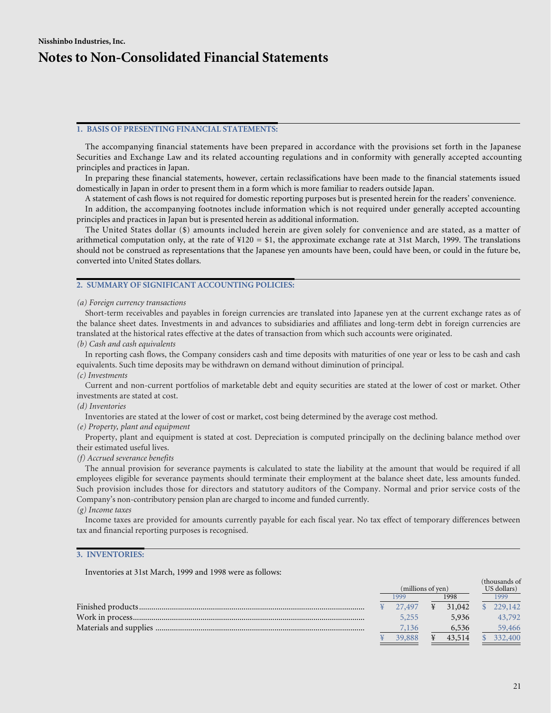### **1. BASIS OF PRESENTING FINANCIAL STATEMENTS:**

The accompanying financial statements have been prepared in accordance with the provisions set forth in the Japanese Securities and Exchange Law and its related accounting regulations and in conformity with generally accepted accounting principles and practices in Japan.

In preparing these financial statements, however, certain reclassifications have been made to the financial statements issued domestically in Japan in order to present them in a form which is more familiar to readers outside Japan.

A statement of cash flows is not required for domestic reporting purposes but is presented herein for the readers' convenience.

In addition, the accompanying footnotes include information which is not required under generally accepted accounting principles and practices in Japan but is presented herein as additional information.

The United States dollar (\$) amounts included herein are given solely for convenience and are stated, as a matter of arithmetical computation only, at the rate of  $\text{\#120} = \text{\$1},$  the approximate exchange rate at 31st March, 1999. The translations should not be construed as representations that the Japanese yen amounts have been, could have been, or could in the future be, converted into United States dollars.

### **2. SUMMARY OF SIGNIFICANT ACCOUNTING POLICIES:**

### *(a) Foreign currency transactions*

Short-term receivables and payables in foreign currencies are translated into Japanese yen at the current exchange rates as of the balance sheet dates. Investments in and advances to subsidiaries and affiliates and long-term debt in foreign currencies are translated at the historical rates effective at the dates of transaction from which such accounts were originated.

*(b) Cash and cash equivalents*

In reporting cash flows, the Company considers cash and time deposits with maturities of one year or less to be cash and cash equivalents. Such time deposits may be withdrawn on demand without diminution of principal.

### *(c) Investments*

Current and non-current portfolios of marketable debt and equity securities are stated at the lower of cost or market. Other investments are stated at cost.

### *(d) Inventories*

Inventories are stated at the lower of cost or market, cost being determined by the average cost method.

### *(e) Property, plant and equipment*

Property, plant and equipment is stated at cost. Depreciation is computed principally on the declining balance method over their estimated useful lives.

### *(f) Accrued severance benefits*

The annual provision for severance payments is calculated to state the liability at the amount that would be required if all employees eligible for severance payments should terminate their employment at the balance sheet date, less amounts funded. Such provision includes those for directors and statutory auditors of the Company. Normal and prior service costs of the Company's non-contributory pension plan are charged to income and funded currently.

### *(g) Income taxes*

Income taxes are provided for amounts currently payable for each fiscal year. No tax effect of temporary differences between tax and financial reporting purposes is recognised.

### **3. INVENTORIES:**

Inventories at 31st March, 1999 and 1998 were as follows:

| (millions of yen) |        |      |        | (thousands of<br>US dollars) |           |  |
|-------------------|--------|------|--------|------------------------------|-----------|--|
|                   | 1999   | 1998 |        | 1999                         |           |  |
|                   | 27.497 | ¥    | 31,042 |                              | \$229,142 |  |
|                   | 5,255  |      | 5.936  |                              | 43,792    |  |
|                   | 7,136  |      | 6,536  |                              | 59,466    |  |
|                   | 39,888 |      | 43,514 |                              | 332,400   |  |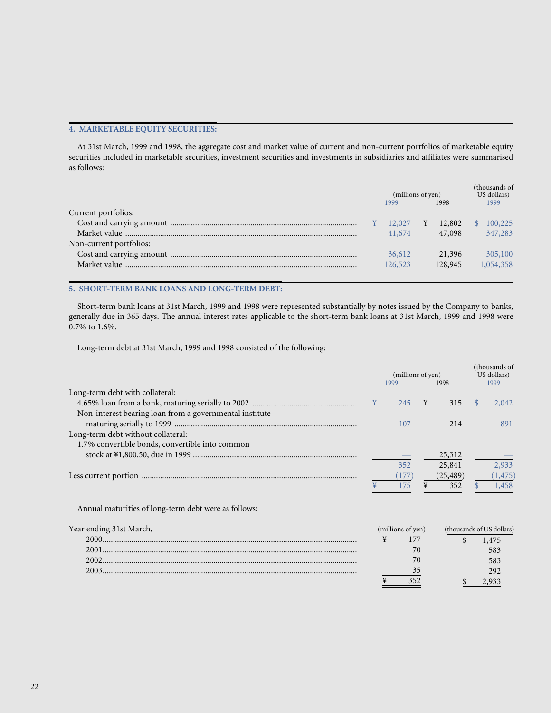## **4. MARKETABLE EQUITY SECURITIES:**

At 31st March, 1999 and 1998, the aggregate cost and market value of current and non-current portfolios of marketable equity securities included in marketable securities, investment securities and investments in subsidiaries and affiliates were summarised as follows:

|                         | (millions of yen)<br>1998<br>1999 |         |   | thousands of<br>US dollars)<br>1999 |  |           |
|-------------------------|-----------------------------------|---------|---|-------------------------------------|--|-----------|
| Current portfolios:     |                                   |         |   |                                     |  |           |
|                         |                                   | 12,027  | ¥ | 12,802                              |  | 100,225   |
|                         |                                   | 41,674  |   | 47,098                              |  | 347,283   |
| Non-current portfolios: |                                   |         |   |                                     |  |           |
|                         |                                   | 36,612  |   | 21,396                              |  | 305,100   |
|                         |                                   | 126,523 |   | 128,945                             |  | 1,054,358 |
|                         |                                   |         |   |                                     |  |           |

## **5. SHORT-TERM BANK LOANS AND LONG-TERM DEBT:**

Short-term bank loans at 31st March, 1999 and 1998 were represented substantially by notes issued by the Company to banks, generally due in 365 days. The annual interest rates applicable to the short-term bank loans at 31st March, 1999 and 1998 were 0.7% to 1.6%.

Long-term debt at 31st March, 1999 and 1998 consisted of the following:

2003............................................................................................................................

|                                                         |               |                   | (millions of yen)<br>1998<br>1999 |           |               |                           |
|---------------------------------------------------------|---------------|-------------------|-----------------------------------|-----------|---------------|---------------------------|
| Long-term debt with collateral:                         |               |                   |                                   |           |               |                           |
|                                                         | $\frac{1}{2}$ | 245               | ¥                                 | 315       | <sup>\$</sup> | 2,042                     |
| Non-interest bearing loan from a governmental institute |               |                   |                                   |           |               |                           |
|                                                         |               | 107               |                                   | 214       |               | 891                       |
| Long-term debt without collateral:                      |               |                   |                                   |           |               |                           |
| 1.7% convertible bonds, convertible into common         |               |                   |                                   |           |               |                           |
|                                                         |               |                   |                                   | 25,312    |               |                           |
|                                                         |               | 352               |                                   | 25,841    |               | 2,933                     |
|                                                         |               | (177)             |                                   | (25, 489) |               | (1, 475)                  |
|                                                         |               | 175               | ¥                                 | 352       |               | 1,458                     |
| Annual maturities of long-term debt were as follows:    |               |                   |                                   |           |               |                           |
| Year ending 31st March,                                 |               | (millions of yen) |                                   |           |               | (thousands of US dollars) |
|                                                         | ¥             | 177               |                                   | \$        |               | 1,475                     |
|                                                         |               | 70                |                                   |           |               | 583                       |
|                                                         |               | 70                |                                   |           |               | 583                       |

292 2,933

35

¥ 352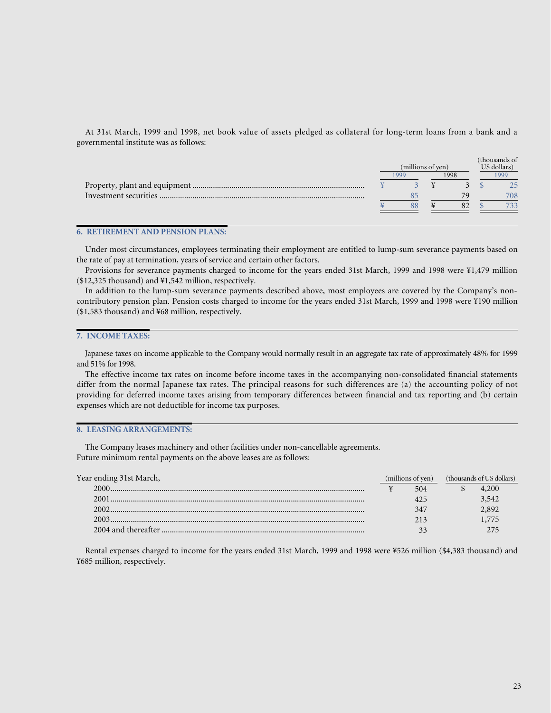At 31st March, 1999 and 1998, net book value of assets pledged as collateral for long-term loans from a bank and a governmental institute was as follows:

|  | (millions of yen) | (thousands of<br>US dollars) |      |     |  |
|--|-------------------|------------------------------|------|-----|--|
|  | 999               | 1998                         | 1999 |     |  |
|  |                   |                              |      | つら  |  |
|  |                   |                              |      | 708 |  |
|  |                   |                              |      | 733 |  |
|  |                   |                              |      |     |  |

### **6. RETIREMENT AND PENSION PLANS:**

Under most circumstances, employees terminating their employment are entitled to lump-sum severance payments based on the rate of pay at termination, years of service and certain other factors.

Provisions for severance payments charged to income for the years ended 31st March, 1999 and 1998 were ¥1,479 million (\$12,325 thousand) and ¥1,542 million, respectively.

In addition to the lump-sum severance payments described above, most employees are covered by the Company's noncontributory pension plan. Pension costs charged to income for the years ended 31st March, 1999 and 1998 were ¥190 million (\$1,583 thousand) and ¥68 million, respectively.

### **7. INCOME TAXES:**

Japanese taxes on income applicable to the Company would normally result in an aggregate tax rate of approximately 48% for 1999 and 51% for 1998.

The effective income tax rates on income before income taxes in the accompanying non-consolidated financial statements differ from the normal Japanese tax rates. The principal reasons for such differences are (a) the accounting policy of not providing for deferred income taxes arising from temporary differences between financial and tax reporting and (b) certain expenses which are not deductible for income tax purposes.

### **8. LEASING ARRANGEMENTS:**

The Company leases machinery and other facilities under non-cancellable agreements. Future minimum rental payments on the above leases are as follows:

| Year ending 31st March, | (millions of yen) |  | (thousands of US dollars) |  |
|-------------------------|-------------------|--|---------------------------|--|
|                         | 504               |  | 4,200                     |  |
| 2001                    |                   |  | 3,542                     |  |
| 2002                    | 347               |  | 2.892                     |  |
|                         | 213               |  |                           |  |
|                         |                   |  |                           |  |

Rental expenses charged to income for the years ended 31st March, 1999 and 1998 were ¥526 million (\$4,383 thousand) and ¥685 million, respectively.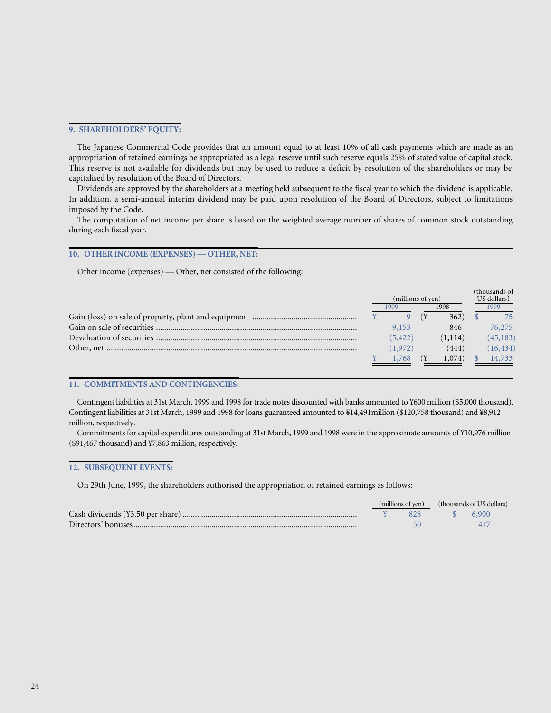### **9. SHAREHOLDERS' EQUITY:**

The Japanese Commercial Code provides that an amount equal to at least 10% of all cash payments which are made as an appropriation of retained earnings be appropriated as a legal reserve until such reserve equals 25% of stated value of capital stock. This reserve is not available for dividends but may be used to reduce a deficit by resolution of the shareholders or may be capitalised by resolution of the Board of Directors.

Dividends are approved by the shareholders at a meeting held subsequent to the fiscal year to which the dividend is applicable. In addition, a semi-annual interim dividend may be paid upon resolution of the Board of Directors, subject to limitations imposed by the Code.

The computation of net income per share is based on the weighted average number of shares of common stock outstanding during each fiscal year.

### **10. OTHER INCOME (EXPENSES) — OTHER, NET:**

Other income (expenses) — Other, net consisted of the following:

|                   |          |  | (thousands of |             |           |  |
|-------------------|----------|--|---------------|-------------|-----------|--|
| (millions of yen) |          |  |               | US dollars) |           |  |
| 1998<br>1999      |          |  |               | 1999        |           |  |
|                   |          |  | 362)          |             | 75        |  |
|                   | 9,153    |  | 846           |             | 76,275    |  |
|                   | (5, 422) |  | (1, 114)      |             | (45, 183) |  |
|                   | (1.972)  |  | (444)         |             | (16, 434) |  |
|                   | .768     |  | 1,074)        |             | 14,733    |  |
|                   |          |  |               |             |           |  |

### **11. COMMITMENTS AND CONTINGENCIES:**

Contingent liabilities at 31st March, 1999 and 1998 for trade notes discounted with banks amounted to ¥600 million (\$5,000 thousand). Contingent liabilities at 31st March, 1999 and 1998 for loans guaranteed amounted to ¥14,491million (\$120,758 thousand) and ¥8,912 million, respectively.

Commitments for capital expenditures outstanding at 31st March, 1999 and 1998 were in the approximate amounts of ¥10,976 million (\$91,467 thousand) and ¥7,863 million, respectively.

### **12. SUBSEQUENT EVENTS:**

On 29th June, 1999, the shareholders authorised the appropriation of retained earnings as follows:

|  | (millions of yen) (thousands of US dollars) |       |  |  |  |
|--|---------------------------------------------|-------|--|--|--|
|  | $-$ S $-$                                   | 6.900 |  |  |  |
|  |                                             |       |  |  |  |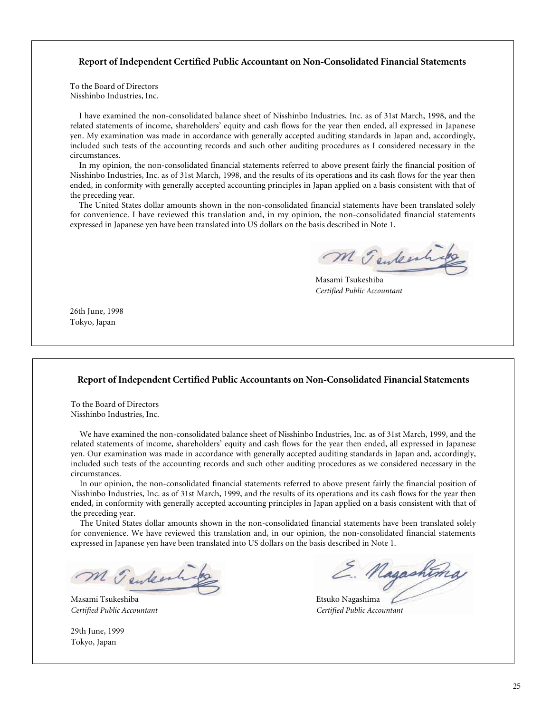## **Report of Independent Certified Public Accountant on Non-Consolidated Financial Statements**

To the Board of Directors Nisshinbo Industries, Inc.

I have examined the non-consolidated balance sheet of Nisshinbo Industries, Inc. as of 31st March, 1998, and the related statements of income, shareholders' equity and cash flows for the year then ended, all expressed in Japanese yen. My examination was made in accordance with generally accepted auditing standards in Japan and, accordingly, included such tests of the accounting records and such other auditing procedures as I considered necessary in the circumstances.

In my opinion, the non-consolidated financial statements referred to above present fairly the financial position of Nisshinbo Industries, Inc. as of 31st March, 1998, and the results of its operations and its cash flows for the year then ended, in conformity with generally accepted accounting principles in Japan applied on a basis consistent with that of the preceding year.

The United States dollar amounts shown in the non-consolidated financial statements have been translated solely for convenience. I have reviewed this translation and, in my opinion, the non-consolidated financial statements expressed in Japanese yen have been translated into US dollars on the basis described in Note 1.

M Tenkesh

Masami Tsukeshiba *Certified Public Accountant*

26th June, 1998 Tokyo, Japan

### **Report of Independent Certified Public Accountants on Non-Consolidated Financial Statements**

To the Board of Directors Nisshinbo Industries, Inc.

We have examined the non-consolidated balance sheet of Nisshinbo Industries, Inc. as of 31st March, 1999, and the related statements of income, shareholders' equity and cash flows for the year then ended, all expressed in Japanese yen. Our examination was made in accordance with generally accepted auditing standards in Japan and, accordingly, included such tests of the accounting records and such other auditing procedures as we considered necessary in the circumstances.

In our opinion, the non-consolidated financial statements referred to above present fairly the financial position of Nisshinbo Industries, Inc. as of 31st March, 1999, and the results of its operations and its cash flows for the year then ended, in conformity with generally accepted accounting principles in Japan applied on a basis consistent with that of the preceding year.

The United States dollar amounts shown in the non-consolidated financial statements have been translated solely for convenience. We have reviewed this translation and, in our opinion, the non-consolidated financial statements expressed in Japanese yen have been translated into US dollars on the basis described in Note 1.

M Tenkerh

Masami Tsukeshiba **Etsuko Nagashima** Etsuko Nagashima

29th June, 1999 Tokyo, Japan

E. Nagashtima

*Certified Public Accountant Certified Public Accountant*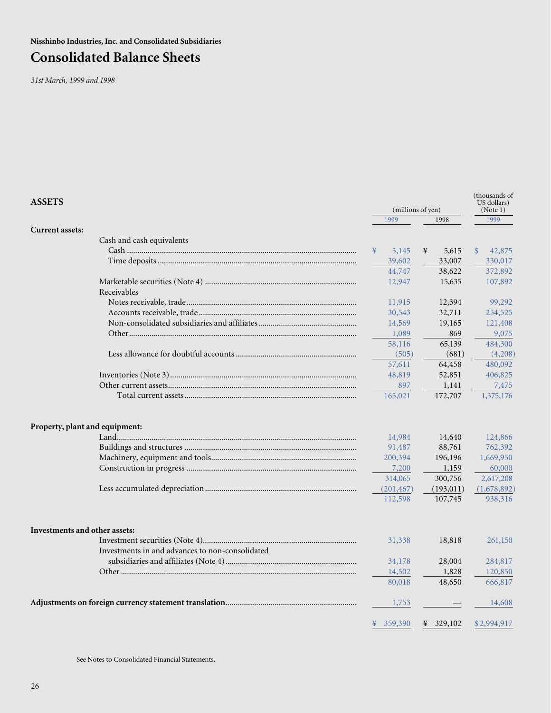**Nisshinbo Industries, Inc. and Consolidated Subsidiaries**

# **Consolidated Balance Sheets**

*31st March, 1999 and 1998*

| <b>ASSETS</b>                                   |              | (millions of yen) |                         |  |
|-------------------------------------------------|--------------|-------------------|-------------------------|--|
|                                                 | 1999         | 1998              | 1999                    |  |
| <b>Current assets:</b>                          |              |                   |                         |  |
| Cash and cash equivalents                       |              |                   |                         |  |
|                                                 | 5,145<br>¥   | ¥<br>5,615        | $\mathcal{S}$<br>42,875 |  |
|                                                 | 39,602       | 33,007            | 330,017                 |  |
|                                                 | 44,747       | 38,622            | 372,892                 |  |
| Receivables                                     | 12,947       | 15,635            | 107,892                 |  |
|                                                 | 11,915       | 12,394            | 99,292                  |  |
|                                                 | 30,543       | 32,711            | 254,525                 |  |
|                                                 | 14,569       | 19,165            | 121,408                 |  |
|                                                 | 1,089        | 869               | 9,075                   |  |
|                                                 | 58,116       | 65,139            | 484,300                 |  |
|                                                 | (505)        | (681)             | (4,208)                 |  |
|                                                 | 57,611       | 64,458            | 480,092                 |  |
|                                                 | 48,819       | 52,851            | 406,825                 |  |
|                                                 | 897          | 1,141             | 7,475                   |  |
|                                                 | 165,021      | 172,707           | 1,375,176               |  |
| Property, plant and equipment:                  | 14,984       | 14,640            | 124,866                 |  |
|                                                 | 91,487       | 88,761            | 762,392                 |  |
|                                                 | 200,394      | 196,196           | 1,669,950               |  |
|                                                 | 7,200        | 1,159             | 60,000                  |  |
|                                                 | 314,065      | 300,756           | 2,617,208               |  |
|                                                 | (201, 467)   | (193, 011)        | (1,678,892)             |  |
|                                                 | 112,598      | 107,745           | 938,316                 |  |
|                                                 |              |                   |                         |  |
| Investments and other assets:                   |              |                   |                         |  |
|                                                 | 31,338       | 18,818            | 261,150                 |  |
| Investments in and advances to non-consolidated |              |                   |                         |  |
|                                                 | 34,178       | 28,004            | 284,817                 |  |
|                                                 | 14,502       | 1,828             | 120,850                 |  |
|                                                 | 80,018       | 48,650            | 666,817                 |  |
|                                                 | 1,753        |                   | 14,608                  |  |
|                                                 | 359,390<br>¥ | ¥ 329,102         | \$2,994,917             |  |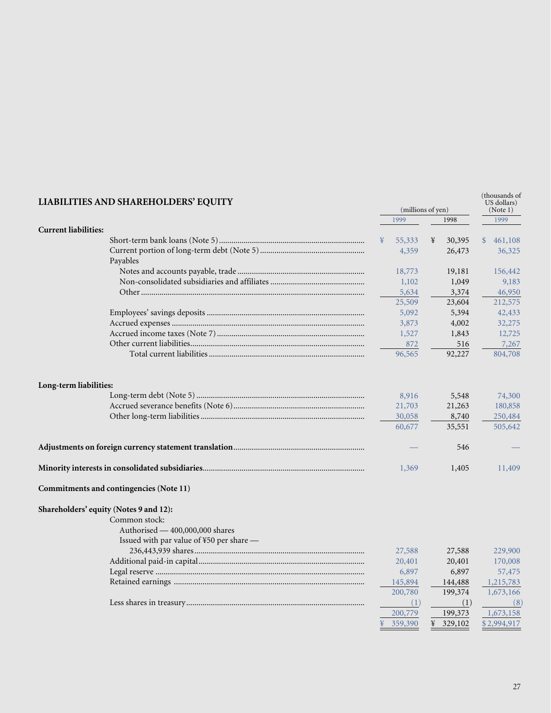| LIABILITIES AND SHAREHOLDERS' EQUITY     | (millions of yen) |         |   |           |              |                   |  |  | (thousands of<br>US dollars)<br>(Note 1) |
|------------------------------------------|-------------------|---------|---|-----------|--------------|-------------------|--|--|------------------------------------------|
|                                          |                   | 1999    |   | 1998      |              | 1999              |  |  |                                          |
| <b>Current liabilities:</b>              | ¥                 | 55,333  | ¥ | 30,395    | $\mathbb{S}$ |                   |  |  |                                          |
|                                          |                   | 4,359   |   | 26,473    |              | 461,108<br>36,325 |  |  |                                          |
| Payables                                 |                   |         |   |           |              |                   |  |  |                                          |
|                                          |                   | 18,773  |   | 19,181    |              | 156,442           |  |  |                                          |
|                                          |                   | 1,102   |   | 1,049     |              | 9,183             |  |  |                                          |
|                                          |                   | 5,634   |   | 3,374     |              | 46,950            |  |  |                                          |
|                                          |                   | 25,509  |   | 23,604    |              | 212,575           |  |  |                                          |
|                                          |                   | 5,092   |   | 5,394     |              | 42,433            |  |  |                                          |
|                                          |                   | 3,873   |   | 4,002     |              | 32,275            |  |  |                                          |
|                                          |                   | 1,527   |   | 1,843     |              | 12,725            |  |  |                                          |
|                                          |                   | 872     |   | 516       |              | 7,267             |  |  |                                          |
|                                          |                   | 96,565  |   | 92,227    |              | 804,708           |  |  |                                          |
| Long-term liabilities:                   |                   |         |   |           |              |                   |  |  |                                          |
|                                          |                   | 8,916   |   | 5,548     |              | 74,300            |  |  |                                          |
|                                          |                   | 21,703  |   | 21,263    |              | 180,858           |  |  |                                          |
|                                          |                   | 30,058  |   | 8,740     |              | 250,484           |  |  |                                          |
|                                          |                   | 60,677  |   | 35,551    |              | 505,642           |  |  |                                          |
|                                          |                   |         |   | 546       |              |                   |  |  |                                          |
|                                          |                   | 1,369   |   | 1,405     |              | 11,409            |  |  |                                          |
| Commitments and contingencies (Note 11)  |                   |         |   |           |              |                   |  |  |                                          |
| Shareholders' equity (Notes 9 and 12):   |                   |         |   |           |              |                   |  |  |                                          |
| Common stock:                            |                   |         |   |           |              |                   |  |  |                                          |
| Authorised - 400,000,000 shares          |                   |         |   |           |              |                   |  |  |                                          |
| Issued with par value of ¥50 per share - |                   |         |   |           |              |                   |  |  |                                          |
|                                          |                   | 27,588  |   | 27,588    |              | 229,900           |  |  |                                          |
|                                          |                   | 20,401  |   | 20,401    |              | 170,008           |  |  |                                          |
|                                          |                   | 6,897   |   | 6,897     |              | 57,475            |  |  |                                          |
|                                          |                   | 145,894 |   | 144,488   |              | 1,215,783         |  |  |                                          |
|                                          |                   | 200,780 |   | 199,374   |              | 1,673,166         |  |  |                                          |
|                                          |                   | (1)     |   | (1)       |              | (8)               |  |  |                                          |
|                                          |                   | 200,779 |   | 199,373   |              | 1,673,158         |  |  |                                          |
|                                          | ¥                 | 359,390 |   | ¥ 329,102 |              | \$2,994,917       |  |  |                                          |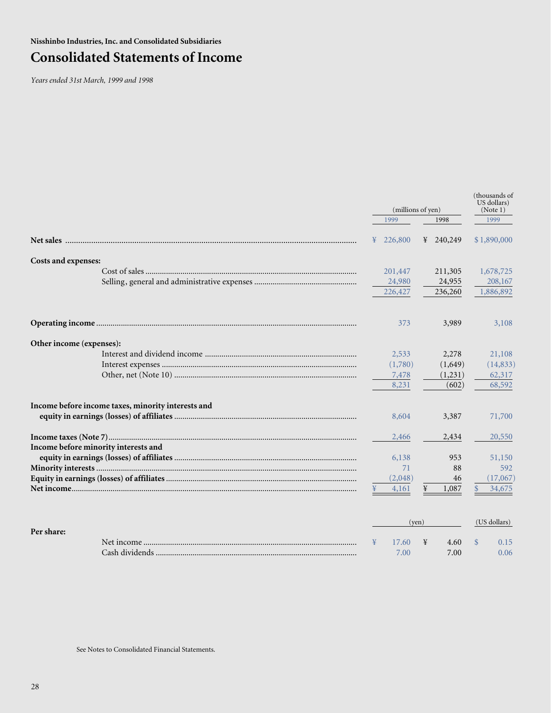# **Consolidated Statements of Income**

*Years ended 31st March, 1999 and 1998*

|                                                    |              | (millions of yen) |                        |  | (thousands of |  |  |
|----------------------------------------------------|--------------|-------------------|------------------------|--|---------------|--|--|
|                                                    | 1999         | 1998              | 1999                   |  |               |  |  |
|                                                    | 226,800<br>¥ | ¥ 240,249         | \$1,890,000            |  |               |  |  |
| Costs and expenses:                                |              |                   |                        |  |               |  |  |
|                                                    | 201,447      | 211,305           | 1,678,725              |  |               |  |  |
|                                                    | 24,980       | 24,955            | 208,167                |  |               |  |  |
|                                                    | 226,427      | 236,260           | 1,886,892              |  |               |  |  |
|                                                    | 373          | 3,989             | 3,108                  |  |               |  |  |
| Other income (expenses):                           |              |                   |                        |  |               |  |  |
|                                                    | 2,533        | 2,278             | 21,108                 |  |               |  |  |
|                                                    | (1,780)      | (1,649)           | (14, 833)              |  |               |  |  |
|                                                    | 7,478        | (1,231)           | 62,317                 |  |               |  |  |
|                                                    | 8,231        | (602)             | 68,592                 |  |               |  |  |
| Income before income taxes, minority interests and |              |                   |                        |  |               |  |  |
|                                                    | 8,604        | 3,387             | 71,700                 |  |               |  |  |
|                                                    | 2,466        | 2,434             | 20,550                 |  |               |  |  |
| Income before minority interests and               |              |                   |                        |  |               |  |  |
|                                                    | 6,138        | 953               | 51,150                 |  |               |  |  |
|                                                    | 71           | 88                | 592                    |  |               |  |  |
|                                                    | (2,048)      | 46                | (17,067)               |  |               |  |  |
|                                                    | 4,161        | 1,087<br>¥        | 34,675<br>$\mathbb{S}$ |  |               |  |  |
|                                                    |              | (ven)             | (US dollars)           |  |               |  |  |
| $\mathbf{D}_{\alpha r}$ charge                     |              |                   |                        |  |               |  |  |

| Per share: |            |                |       |      |
|------------|------------|----------------|-------|------|
|            | Net income | 7.60           | 4.60  |      |
|            |            | $7.00^{\circ}$ | 7.00. | 0.06 |

See Notes to Consolidated Financial Statements.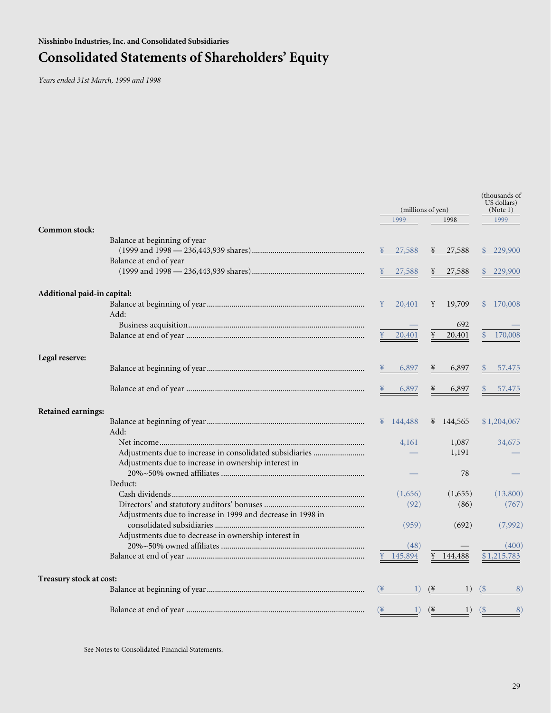# **Consolidated Statements of Shareholders' Equity**

*Years ended 31st March, 1999 and 1998*

|                             |                                                             | (millions of yen) |           |                 |                   |                          |  |
|-----------------------------|-------------------------------------------------------------|-------------------|-----------|-----------------|-------------------|--------------------------|--|
|                             |                                                             |                   | 1999      |                 | 1998              | 1999                     |  |
| Common stock:               |                                                             |                   |           |                 |                   |                          |  |
|                             | Balance at beginning of year                                |                   |           |                 |                   |                          |  |
|                             | Balance at end of year                                      |                   | 27,588    | ¥               | 27,588            | 229,900<br>$\mathcal{S}$ |  |
|                             |                                                             |                   | 27,588    |                 | 27,588            | 229,900                  |  |
| Additional paid-in capital: |                                                             |                   |           |                 |                   |                          |  |
|                             |                                                             | ¥                 | 20,401    | ¥               | 19,709            | $\mathbb{S}$<br>170,008  |  |
|                             | Add:                                                        |                   |           |                 |                   |                          |  |
|                             |                                                             |                   |           |                 | 692               |                          |  |
|                             |                                                             | ¥                 | 20,401    | ¥               | 20,401            | 170,008<br><sup>\$</sup> |  |
| Legal reserve:              |                                                             |                   |           |                 |                   |                          |  |
|                             |                                                             |                   | 6,897     | ¥               | 6,897             | 57,475                   |  |
|                             |                                                             |                   | 6,897     | ¥               | 6,897             | 57,475                   |  |
| Retained earnings:          |                                                             |                   |           |                 |                   |                          |  |
|                             |                                                             |                   | ¥ 144,488 |                 | ¥ 144,565         | \$1,204,067              |  |
|                             | Add:                                                        |                   |           |                 |                   |                          |  |
|                             |                                                             |                   | 4,161     |                 | 1,087             | 34,675                   |  |
|                             | Adjustments due to increase in consolidated subsidiaries    |                   |           |                 | 1,191             |                          |  |
|                             | Adjustments due to increase in ownership interest in        |                   |           |                 | 78                |                          |  |
|                             | Deduct:                                                     |                   |           |                 |                   |                          |  |
|                             |                                                             |                   | (1,656)   |                 | (1,655)           | (13,800)                 |  |
|                             |                                                             |                   | (92)      |                 | (86)              | (767)                    |  |
|                             | Adjustments due to increase in 1999 and decrease in 1998 in |                   |           |                 |                   |                          |  |
|                             |                                                             |                   | (959)     |                 | (692)             | (7,992)                  |  |
|                             | Adjustments due to decrease in ownership interest in        |                   |           |                 |                   |                          |  |
|                             |                                                             |                   | (48)      |                 |                   | (400)                    |  |
|                             |                                                             |                   | ¥ 145,894 |                 | $\frac{144,488}{$ | \$1,215,783              |  |
| Treasury stock at cost:     |                                                             |                   |           |                 |                   |                          |  |
|                             |                                                             | $(\frac{1}{2})$   | 1)        | $(\frac{1}{2})$ | 1)                | (S<br>8)                 |  |
|                             |                                                             | $(\mathcal{F})$   | 1)        | $(\frac{1}{2})$ | 1)                | $($ \$<br>8)             |  |

See Notes to Consolidated Financial Statements.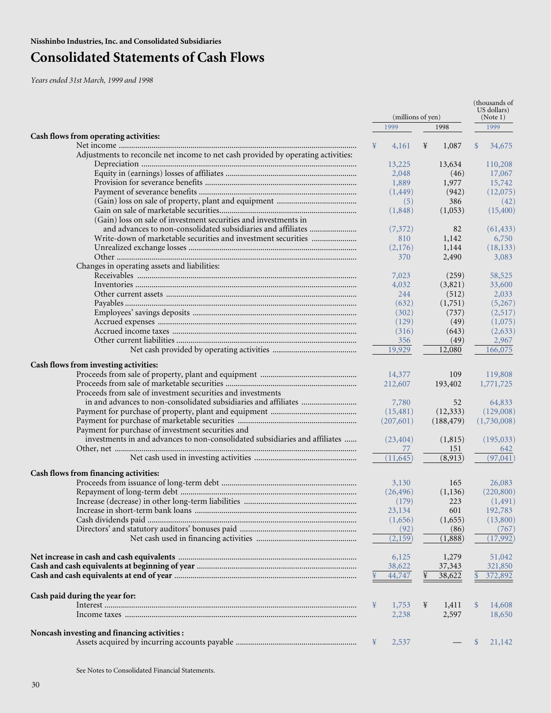# **Consolidated Statements of Cash Flows**

*Years ended 31st March, 1999 and 1998*

|                                                                                   |            |                   | (thousands of<br>US dollars) |
|-----------------------------------------------------------------------------------|------------|-------------------|------------------------------|
|                                                                                   |            | (millions of yen) | (Note 1)                     |
|                                                                                   | 1999       | 1998              | 1999                         |
| Cash flows from operating activities:                                             | ¥          | ¥                 |                              |
| Adjustments to reconcile net income to net cash provided by operating activities: | 4,161      | 1,087             | $\mathcal{S}$<br>34,675      |
|                                                                                   | 13,225     | 13,634            | 110,208                      |
|                                                                                   | 2,048      | (46)              | 17,067                       |
|                                                                                   | 1,889      | 1,977             | 15,742                       |
|                                                                                   | (1, 449)   | (942)             | (12,075)                     |
|                                                                                   | (5)        | 386               | (42)                         |
|                                                                                   | (1,848)    | (1,053)           | (15,400)                     |
| (Gain) loss on sale of investment securities and investments in                   |            |                   |                              |
| and advances to non-consolidated subsidiaries and affiliates                      | (7,372)    | 82                | (61, 433)                    |
| Write-down of marketable securities and investment securities                     | 810        | 1,142             | 6,750                        |
|                                                                                   | (2,176)    | 1,144             | (18, 133)                    |
|                                                                                   | 370        | 2,490             | 3,083                        |
| Changes in operating assets and liabilities:                                      |            |                   |                              |
|                                                                                   | 7,023      | (259)             | 58,525                       |
|                                                                                   | 4,032      | (3,821)           | 33,600                       |
|                                                                                   | 244        | (512)             | 2,033                        |
|                                                                                   | (632)      | (1,751)           | (5,267)                      |
|                                                                                   | (302)      | (737)             | (2,517)                      |
|                                                                                   | (129)      | (49)              | (1,075)                      |
|                                                                                   | (316)      | (643)             | (2,633)                      |
|                                                                                   | 356        | (49)              | 2,967                        |
|                                                                                   | 19,929     | 12,080            | 166,075                      |
|                                                                                   |            |                   |                              |
| Cash flows from investing activities:                                             | 14,377     | 109               | 119,808                      |
|                                                                                   | 212,607    | 193,402           | 1,771,725                    |
| Proceeds from sale of investment securities and investments                       |            |                   |                              |
|                                                                                   | 7,780      | 52                | 64,833                       |
|                                                                                   | (15, 481)  | (12, 333)         | (129,008)                    |
|                                                                                   | (207,601)  | (188, 479)        | (1,730,008)                  |
| Payment for purchase of investment securities and                                 |            |                   |                              |
| investments in and advances to non-consolidated subsidiaries and affiliates       | (23, 404)  | (1,815)           | (195, 033)                   |
|                                                                                   | 77         | 151               | 642                          |
|                                                                                   | (11, 645)  | (8,913)           | (97, 041)                    |
|                                                                                   |            |                   |                              |
| Cash flows from financing activities:                                             |            |                   |                              |
|                                                                                   | 3,130      | 165               | 26,083                       |
|                                                                                   | (26, 496)  | (1, 136)          | (220, 800)                   |
|                                                                                   | (179)      | 223               | (1, 491)                     |
|                                                                                   | 23,134     | 601               | 192,783                      |
|                                                                                   | (1,656)    | (1,655)           | (13,800)                     |
|                                                                                   | (92)       | (86)              | (767)                        |
|                                                                                   | (2,159)    | (1,888)           | (17,992)                     |
|                                                                                   |            |                   |                              |
|                                                                                   | 6,125      | 1,279             | 51,042                       |
|                                                                                   | 38,622     | 37,343            | 321,850                      |
|                                                                                   | 44,747     | 38,622            | 372,892                      |
|                                                                                   |            |                   |                              |
| Cash paid during the year for:                                                    |            |                   |                              |
|                                                                                   | ¥<br>1,753 | ¥<br>1,411        | $\mathcal{S}$<br>14,608      |
|                                                                                   | 2,238      | 2,597             | 18,650                       |
|                                                                                   |            |                   |                              |
| Noncash investing and financing activities :                                      |            |                   |                              |
|                                                                                   | 2,537<br>¥ |                   | 21,142<br>\$                 |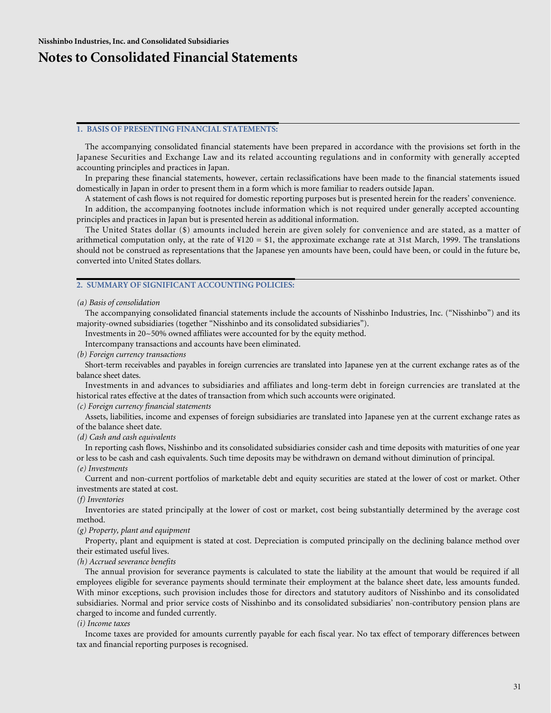## **Notes to Consolidated Financial Statements**

### **1. BASIS OF PRESENTING FINANCIAL STATEMENTS:**

The accompanying consolidated financial statements have been prepared in accordance with the provisions set forth in the Japanese Securities and Exchange Law and its related accounting regulations and in conformity with generally accepted accounting principles and practices in Japan.

In preparing these financial statements, however, certain reclassifications have been made to the financial statements issued domestically in Japan in order to present them in a form which is more familiar to readers outside Japan.

A statement of cash flows is not required for domestic reporting purposes but is presented herein for the readers' convenience.

In addition, the accompanying footnotes include information which is not required under generally accepted accounting principles and practices in Japan but is presented herein as additional information.

The United States dollar (\$) amounts included herein are given solely for convenience and are stated, as a matter of arithmetical computation only, at the rate of  $\frac{1}{20} = $1$ , the approximate exchange rate at 31st March, 1999. The translations should not be construed as representations that the Japanese yen amounts have been, could have been, or could in the future be, converted into United States dollars.

### **2. SUMMARY OF SIGNIFICANT ACCOUNTING POLICIES:**

#### *(a) Basis of consolidation*

The accompanying consolidated financial statements include the accounts of Nisshinbo Industries, Inc. ("Nisshinbo") and its majority-owned subsidiaries (together "Nisshinbo and its consolidated subsidiaries").

Investments in 20~50% owned affiliates were accounted for by the equity method.

Intercompany transactions and accounts have been eliminated.

*(b) Foreign currency transactions*

Short-term receivables and payables in foreign currencies are translated into Japanese yen at the current exchange rates as of the balance sheet dates.

Investments in and advances to subsidiaries and affiliates and long-term debt in foreign currencies are translated at the historical rates effective at the dates of transaction from which such accounts were originated.

### *(c) Foreign currency financial statements*

Assets, liabilities, income and expenses of foreign subsidiaries are translated into Japanese yen at the current exchange rates as of the balance sheet date.

*(d) Cash and cash equivalents*

In reporting cash flows, Nisshinbo and its consolidated subsidiaries consider cash and time deposits with maturities of one year or less to be cash and cash equivalents. Such time deposits may be withdrawn on demand without diminution of principal.

*(e) Investments*

Current and non-current portfolios of marketable debt and equity securities are stated at the lower of cost or market. Other investments are stated at cost.

### *(f) Inventories*

Inventories are stated principally at the lower of cost or market, cost being substantially determined by the average cost method.

#### *(g) Property, plant and equipment*

Property, plant and equipment is stated at cost. Depreciation is computed principally on the declining balance method over their estimated useful lives.

### *(h) Accrued severance benefits*

The annual provision for severance payments is calculated to state the liability at the amount that would be required if all employees eligible for severance payments should terminate their employment at the balance sheet date, less amounts funded. With minor exceptions, such provision includes those for directors and statutory auditors of Nisshinbo and its consolidated subsidiaries. Normal and prior service costs of Nisshinbo and its consolidated subsidiaries' non-contributory pension plans are charged to income and funded currently.

### *(i) Income taxes*

Income taxes are provided for amounts currently payable for each fiscal year. No tax effect of temporary differences between tax and financial reporting purposes is recognised.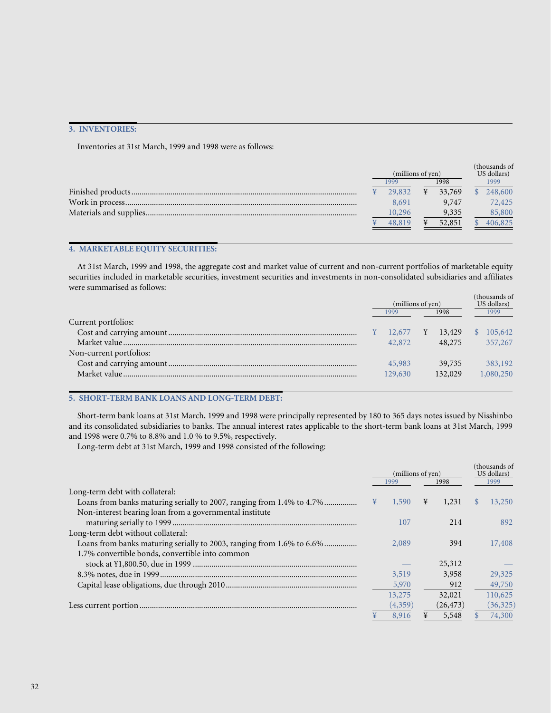## **3. INVENTORIES:**

Inventories at 31st March, 1999 and 1998 were as follows:

| (millions of yen) |              |   | (thousands of<br>US dollars) |         |
|-------------------|--------------|---|------------------------------|---------|
|                   | 1998<br>1999 |   |                              | 1999    |
|                   | 29,832       | ¥ | 33,769                       | 248,600 |
|                   | 8.691        |   | 9,747                        | 72,425  |
|                   | 10,296       |   | 9,335                        | 85,800  |
|                   | 48.819       |   | 52,851                       | 406,825 |

### **4. MARKETABLE EQUITY SECURITIES:**

At 31st March, 1999 and 1998, the aggregate cost and market value of current and non-current portfolios of marketable equity securities included in marketable securities, investment securities and investments in non-consolidated subsidiaries and affiliates were summarised as follows:

|                         | (millions of yen) |         |   |         | (thousands of<br>US dollars) |           |
|-------------------------|-------------------|---------|---|---------|------------------------------|-----------|
|                         | 1999              |         |   | 1998    |                              | 1999      |
| Current portfolios:     |                   |         |   |         |                              |           |
|                         |                   | 12,677  | ¥ | 13,429  |                              | 105,642   |
|                         |                   | 42,872  |   | 48,275  |                              | 357,267   |
| Non-current portfolios: |                   |         |   |         |                              |           |
|                         |                   | 45,983  |   | 39,735  |                              | 383,192   |
|                         |                   | 129,630 |   | 132,029 |                              | 1,080,250 |
|                         |                   |         |   |         |                              |           |

## **5. SHORT-TERM BANK LOANS AND LONG-TERM DEBT:**

Short-term bank loans at 31st March, 1999 and 1998 were principally represented by 180 to 365 days notes issued by Nisshinbo and its consolidated subsidiaries to banks. The annual interest rates applicable to the short-term bank loans at 31st March, 1999 and 1998 were 0.7% to 8.8% and 1.0 % to 9.5%, respectively.

Long-term debt at 31st March, 1999 and 1998 consisted of the following:

|                                                                       |   | (millions of yen)<br>1998<br>1999 |   |           |               | (thousands of<br>US dollars)<br>1999 |  |  |  |  |  |  |  |  |  |  |  |  |  |  |  |  |  |  |  |  |  |  |  |  |  |  |  |  |
|-----------------------------------------------------------------------|---|-----------------------------------|---|-----------|---------------|--------------------------------------|--|--|--|--|--|--|--|--|--|--|--|--|--|--|--|--|--|--|--|--|--|--|--|--|--|--|--|--|
| Long-term debt with collateral:                                       |   |                                   |   |           |               |                                      |  |  |  |  |  |  |  |  |  |  |  |  |  |  |  |  |  |  |  |  |  |  |  |  |  |  |  |  |
| Loans from banks maturing serially to 2007, ranging from 1.4% to 4.7% | ¥ | 1,590                             | ¥ | 1,231     | <sup>\$</sup> | 13,250                               |  |  |  |  |  |  |  |  |  |  |  |  |  |  |  |  |  |  |  |  |  |  |  |  |  |  |  |  |
| Non-interest bearing loan from a governmental institute               |   |                                   |   |           |               |                                      |  |  |  |  |  |  |  |  |  |  |  |  |  |  |  |  |  |  |  |  |  |  |  |  |  |  |  |  |
|                                                                       |   | 107                               |   | 214       |               | 892.                                 |  |  |  |  |  |  |  |  |  |  |  |  |  |  |  |  |  |  |  |  |  |  |  |  |  |  |  |  |
| Long-term debt without collateral:                                    |   |                                   |   |           |               |                                      |  |  |  |  |  |  |  |  |  |  |  |  |  |  |  |  |  |  |  |  |  |  |  |  |  |  |  |  |
| Loans from banks maturing serially to 2003, ranging from 1.6% to 6.6% |   | 2,089                             |   | 394       |               | 17,408                               |  |  |  |  |  |  |  |  |  |  |  |  |  |  |  |  |  |  |  |  |  |  |  |  |  |  |  |  |
| 1.7% convertible bonds, convertible into common                       |   |                                   |   |           |               |                                      |  |  |  |  |  |  |  |  |  |  |  |  |  |  |  |  |  |  |  |  |  |  |  |  |  |  |  |  |
|                                                                       |   |                                   |   | 25,312    |               |                                      |  |  |  |  |  |  |  |  |  |  |  |  |  |  |  |  |  |  |  |  |  |  |  |  |  |  |  |  |
|                                                                       |   | 3,519                             |   | 3,958     |               | 29,325                               |  |  |  |  |  |  |  |  |  |  |  |  |  |  |  |  |  |  |  |  |  |  |  |  |  |  |  |  |
|                                                                       |   | 5,970                             |   | 912       |               | 49,750                               |  |  |  |  |  |  |  |  |  |  |  |  |  |  |  |  |  |  |  |  |  |  |  |  |  |  |  |  |
|                                                                       |   | 13,275                            |   | 32,021    |               | 110,625                              |  |  |  |  |  |  |  |  |  |  |  |  |  |  |  |  |  |  |  |  |  |  |  |  |  |  |  |  |
|                                                                       |   | (4,359)                           |   | (26, 473) |               | (36,325)                             |  |  |  |  |  |  |  |  |  |  |  |  |  |  |  |  |  |  |  |  |  |  |  |  |  |  |  |  |
|                                                                       |   | 8.916                             | ¥ | 5,548     |               | 74,300                               |  |  |  |  |  |  |  |  |  |  |  |  |  |  |  |  |  |  |  |  |  |  |  |  |  |  |  |  |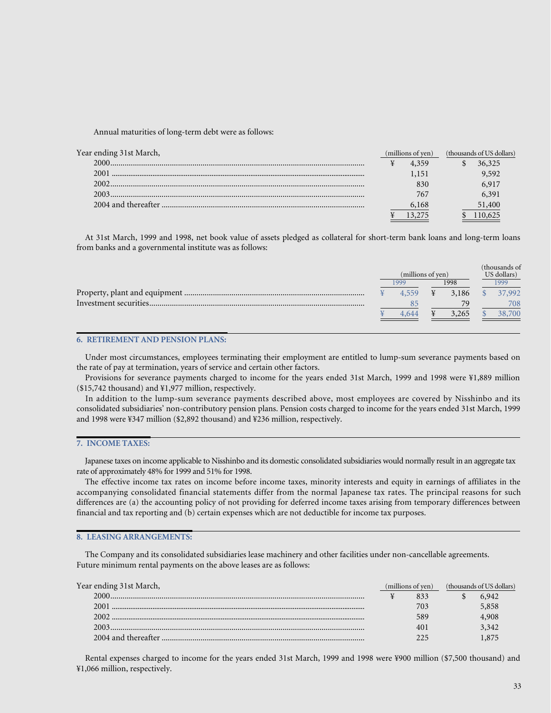Annual maturities of long-term debt were as follows:

| Year ending 31st March, | (millions of yen) |  | (thousands of US dollars) |  |
|-------------------------|-------------------|--|---------------------------|--|
| 2000 -                  | 4.359             |  | 36.325                    |  |
| 2001                    | 1.151             |  | 9.592                     |  |
| 2002                    | 830               |  | 6.917                     |  |
| 2003                    | 767               |  | 6.391                     |  |
|                         | 6,168             |  | 51,400                    |  |
|                         |                   |  |                           |  |
|                         |                   |  |                           |  |

At 31st March, 1999 and 1998, net book value of assets pledged as collateral for short-term bank loans and long-term loans from banks and a governmental institute was as follows:

|                   |       |      |       |             | (thousands of |
|-------------------|-------|------|-------|-------------|---------------|
| (millions of yen) |       |      |       | US dollars) |               |
|                   | 1999  | 1998 |       |             | 999           |
|                   |       |      | 3.186 |             | 37,992        |
|                   |       |      | 79    |             | 708           |
|                   | 4 644 |      | .265  |             | 38,700        |
|                   |       |      |       |             |               |

### **6. RETIREMENT AND PENSION PLANS:**

Under most circumstances, employees terminating their employment are entitled to lump-sum severance payments based on the rate of pay at termination, years of service and certain other factors.

Provisions for severance payments charged to income for the years ended 31st March, 1999 and 1998 were ¥1,889 million (\$15,742 thousand) and ¥1,977 million, respectively.

In addition to the lump-sum severance payments described above, most employees are covered by Nisshinbo and its consolidated subsidiaries' non-contributory pension plans. Pension costs charged to income for the years ended 31st March, 1999 and 1998 were ¥347 million (\$2,892 thousand) and ¥236 million, respectively.

### **7. INCOME TAXES:**

Japanese taxes on income applicable to Nisshinbo and its domestic consolidated subsidiaries would normally result in an aggregate tax rate of approximately 48% for 1999 and 51% for 1998.

The effective income tax rates on income before income taxes, minority interests and equity in earnings of affiliates in the accompanying consolidated financial statements differ from the normal Japanese tax rates. The principal reasons for such differences are (a) the accounting policy of not providing for deferred income taxes arising from temporary differences between financial and tax reporting and (b) certain expenses which are not deductible for income tax purposes.

### **8. LEASING ARRANGEMENTS:**

The Company and its consolidated subsidiaries lease machinery and other facilities under non-cancellable agreements. Future minimum rental payments on the above leases are as follows:

| Year ending 31st March, | (millions of yen) |     | (thousands of US dollars) |  |
|-------------------------|-------------------|-----|---------------------------|--|
| 2000-                   |                   |     | 6.942                     |  |
| 2001                    |                   | 703 | 5,858                     |  |
| 2002.                   |                   | 589 | 4.908                     |  |
| 2003                    |                   | 401 | 3.342                     |  |
|                         |                   |     |                           |  |

Rental expenses charged to income for the years ended 31st March, 1999 and 1998 were ¥900 million (\$7,500 thousand) and ¥1,066 million, respectively.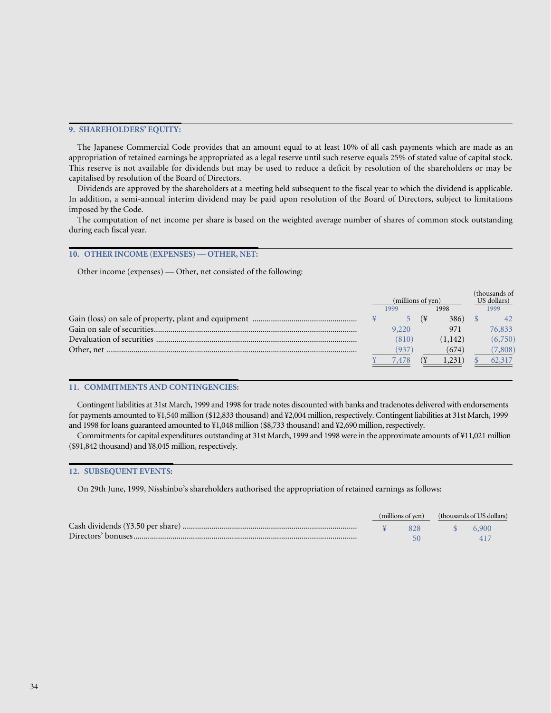### **9. SHAREHOLDERS' EQUITY:**

The Japanese Commercial Code provides that an amount equal to at least 10% of all cash payments which are made as an appropriation of retained earnings be appropriated as a legal reserve until such reserve equals 25% of stated value of capital stock. This reserve is not available for dividends but may be used to reduce a deficit by resolution of the shareholders or may be capitalised by resolution of the Board of Directors.

Dividends are approved by the shareholders at a meeting held subsequent to the fiscal year to which the dividend is applicable. In addition, a semi-annual interim dividend may be paid upon resolution of the Board of Directors, subject to limitations imposed by the Code.

The computation of net income per share is based on the weighted average number of shares of common stock outstanding during each fiscal year.

### **10. OTHER INCOME (EXPENSES) — OTHER, NET:**

Other income (expenses) — Other, net consisted of the following:

|                   |              |    |             |      | (thousands of |
|-------------------|--------------|----|-------------|------|---------------|
| (millions of yen) |              |    | US dollars) |      |               |
|                   | 1998<br>1999 |    |             | 1999 |               |
|                   |              | (¥ | 386)        |      | 42            |
|                   | 9,220        |    | 971         |      | 76,833        |
|                   | (810)        |    | (1,142)     |      | (6,750)       |
|                   | 937          |    | (674)       |      | (7,808)       |
|                   | 7.478        |    | 1,231       |      | 62,317        |

### **11. COMMITMENTS AND CONTINGENCIES:**

Contingent liabilities at 31st March, 1999 and 1998 for trade notes discounted with banks and tradenotes delivered with endorsements for payments amounted to ¥1,540 million (\$12,833 thousand) and ¥2,004 million, respectively. Contingent liabilities at 31st March, 1999 and 1998 for loans guaranteed amounted to ¥1,048 million (\$8,733 thousand) and ¥2,690 million, respectively.

Commitments for capital expenditures outstanding at 31st March, 1999 and 1998 were in the approximate amounts of ¥11,021 million (\$91,842 thousand) and ¥8,045 million, respectively.

### **12. SUBSEQUENT EVENTS:**

On 29th June, 1999, Nisshinbo's shareholders authorised the appropriation of retained earnings as follows:

| (millions of yen) |     | (thousands of US dollars) |       |  |
|-------------------|-----|---------------------------|-------|--|
|                   | 828 | $\sim$ S $\sim$           | 6.900 |  |
|                   |     |                           |       |  |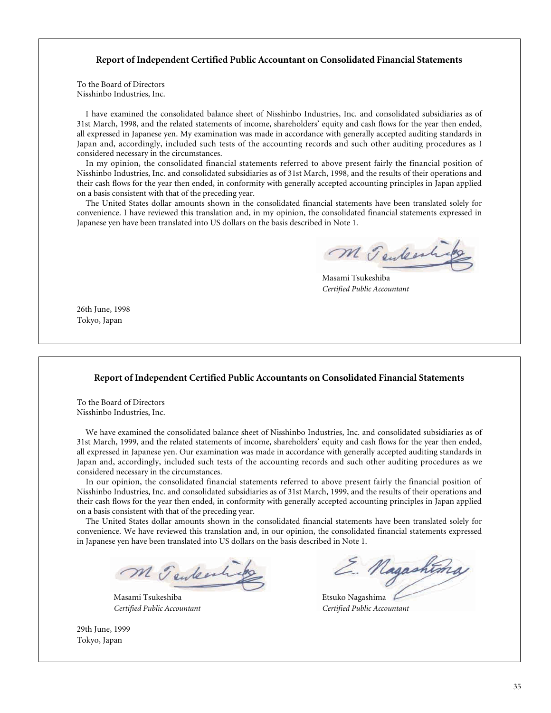## **Report of Independent Certified Public Accountant on Consolidated Financial Statements**

To the Board of Directors Nisshinbo Industries, Inc.

I have examined the consolidated balance sheet of Nisshinbo Industries, Inc. and consolidated subsidiaries as of 31st March, 1998, and the related statements of income, shareholders' equity and cash flows for the year then ended, all expressed in Japanese yen. My examination was made in accordance with generally accepted auditing standards in Japan and, accordingly, included such tests of the accounting records and such other auditing procedures as I considered necessary in the circumstances.

In my opinion, the consolidated financial statements referred to above present fairly the financial position of Nisshinbo Industries, Inc. and consolidated subsidiaries as of 31st March, 1998, and the results of their operations and their cash flows for the year then ended, in conformity with generally accepted accounting principles in Japan applied on a basis consistent with that of the preceding year.

The United States dollar amounts shown in the consolidated financial statements have been translated solely for convenience. I have reviewed this translation and, in my opinion, the consolidated financial statements expressed in Japanese yen have been translated into US dollars on the basis described in Note 1.

M Tenkesh

Masami Tsukeshiba *Certified Public Accountant*

26th June, 1998 Tokyo, Japan

### **Report of Independent Certified Public Accountants on Consolidated Financial Statements**

To the Board of Directors Nisshinbo Industries, Inc.

We have examined the consolidated balance sheet of Nisshinbo Industries, Inc. and consolidated subsidiaries as of 31st March, 1999, and the related statements of income, shareholders' equity and cash flows for the year then ended, all expressed in Japanese yen. Our examination was made in accordance with generally accepted auditing standards in Japan and, accordingly, included such tests of the accounting records and such other auditing procedures as we considered necessary in the circumstances.

In our opinion, the consolidated financial statements referred to above present fairly the financial position of Nisshinbo Industries, Inc. and consolidated subsidiaries as of 31st March, 1999, and the results of their operations and their cash flows for the year then ended, in conformity with generally accepted accounting principles in Japan applied on a basis consistent with that of the preceding year.

The United States dollar amounts shown in the consolidated financial statements have been translated solely for convenience. We have reviewed this translation and, in our opinion, the consolidated financial statements expressed in Japanese yen have been translated into US dollars on the basis described in Note 1.

M Tenteenhips

Masami Tsukeshiba **Etsuko Nagashima** 

29th June, 1999 Tokyo, Japan

E. Nagashting

*Certified Public Accountant Certified Public Accountant*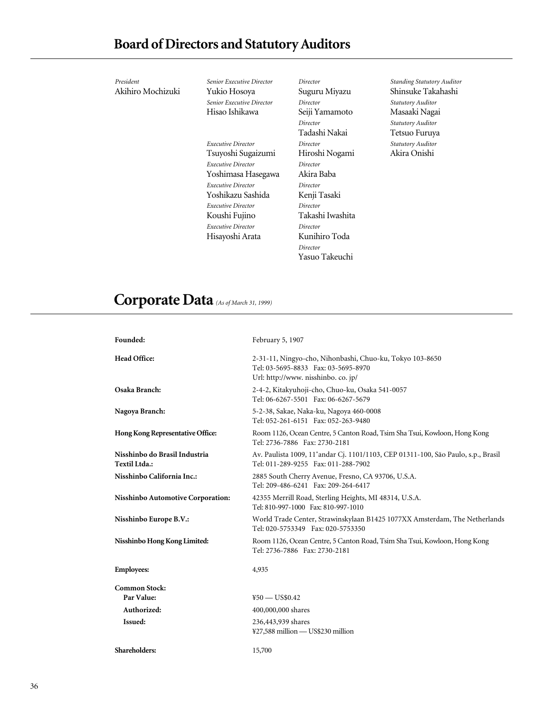| President         | Senior Executive Director        | Director         | Stc |
|-------------------|----------------------------------|------------------|-----|
| Akihiro Mochizuki | Yukio Hosoya                     | Suguru Miyazu    | Sh  |
|                   | <b>Senior Executive Director</b> | Director         | Stc |
|                   | Hisao Ishikawa                   | Seiji Yamamoto   | М   |
|                   |                                  | Director         | Stc |
|                   |                                  | Tadashi Nakai    | Tε  |
|                   | Executive Director               | Director         | Stc |
|                   | Tsuyoshi Sugaizumi               | Hiroshi Nogami   | Al  |
|                   | <b>Executive Director</b>        | Director         |     |
|                   | Yoshimasa Hasegawa               | Akira Baba       |     |
|                   | <b>Executive Director</b>        | Director         |     |
|                   | Yoshikazu Sashida                | Kenji Tasaki     |     |
|                   | Executive Director               | Director         |     |
|                   | Koushi Fujino                    | Takashi Iwashita |     |
|                   | <b>Executive Director</b>        | Director         |     |
|                   | Hisayoshi Arata                  | Kunihiro Toda    |     |
|                   |                                  | Director         |     |
|                   |                                  | Yasuo Takeuchi   |     |
|                   |                                  |                  |     |

*Standing Statutory Auditor* insuke Takahashi *Statutory Auditor* Masaaki Nagai *Statutory Auditor* etsuo Furuya *Statutory Auditor* Akira Onishi

# **Corporate Data** *(As of March 31, 1999)*

| Founded:                                       | February 5, 1907                                                                                                                       |
|------------------------------------------------|----------------------------------------------------------------------------------------------------------------------------------------|
| <b>Head Office:</b>                            | 2-31-11, Ningyo-cho, Nihonbashi, Chuo-ku, Tokyo 103-8650<br>Tel: 03-5695-8833 Fax: 03-5695-8970<br>Url: http://www. nisshinbo. co. jp/ |
| Osaka Branch:                                  | 2-4-2, Kitakyuhoji-cho, Chuo-ku, Osaka 541-0057<br>Tel: 06-6267-5501 Fax: 06-6267-5679                                                 |
| Nagoya Branch:                                 | 5-2-38, Sakae, Naka-ku, Nagoya 460-0008<br>Tel: 052-261-6151 Fax: 052-263-9480                                                         |
| Hong Kong Representative Office:               | Room 1126, Ocean Centre, 5 Canton Road, Tsim Sha Tsui, Kowloon, Hong Kong<br>Tel: 2736-7886 Fax: 2730-2181                             |
| Nisshinbo do Brasil Industria<br>Textil Ltda.: | Av. Paulista 1009, 11 <sup>°</sup> andar Cj. 1101/1103, CEP 01311-100, São Paulo, s.p., Brasil<br>Tel: 011-289-9255 Fax: 011-288-7902  |
| Nisshinbo California Inc.:                     | 2885 South Cherry Avenue, Fresno, CA 93706, U.S.A.<br>Tel: 209-486-6241 Fax: 209-264-6417                                              |
| Nisshinbo Automotive Corporation:              | 42355 Merrill Road, Sterling Heights, MI 48314, U.S.A.<br>Tel: 810-997-1000 Fax: 810-997-1010                                          |
| Nisshinbo Europe B.V.:                         | World Trade Center, Strawinskylaan B1425 1077XX Amsterdam, The Netherlands<br>Tel: 020-5753349 Fax: 020-5753350                        |
| Nisshinbo Hong Kong Limited:                   | Room 1126, Ocean Centre, 5 Canton Road, Tsim Sha Tsui, Kowloon, Hong Kong<br>Tel: 2736-7886 Fax: 2730-2181                             |
| <b>Employees:</b>                              | 4,935                                                                                                                                  |
| <b>Common Stock:</b>                           |                                                                                                                                        |
| Par Value:                                     | $450 - US$0.42$                                                                                                                        |
| Authorized:                                    | 400,000,000 shares                                                                                                                     |
| Issued:                                        | 236,443,939 shares<br>¥27,588 million - US\$230 million                                                                                |
| Shareholders:                                  | 15,700                                                                                                                                 |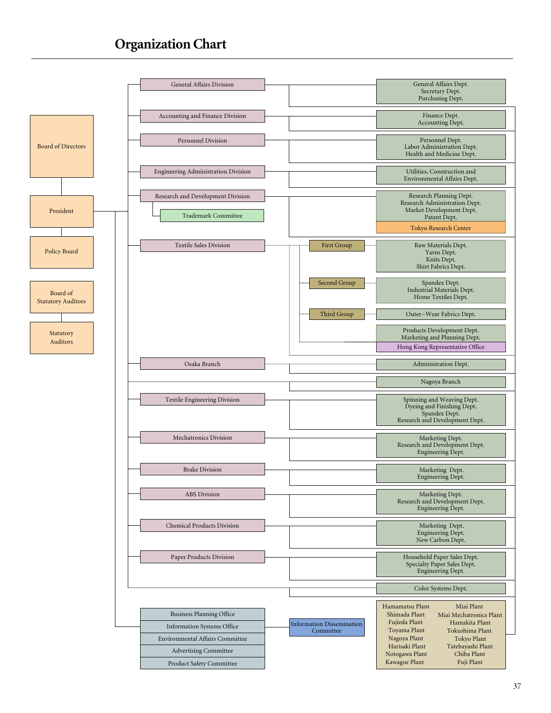## **Organization Chart**